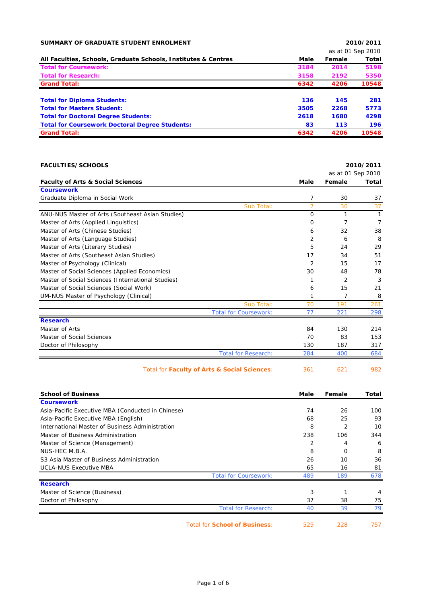| SUMMARY OF GRADUATE STUDENT ENROLMENT                          |                   |        | 2010/2011 |  |
|----------------------------------------------------------------|-------------------|--------|-----------|--|
|                                                                | as at 01 Sep 2010 |        |           |  |
| All Faculties, Schools, Graduate Schools, Institutes & Centres | Male              | Female | Total     |  |
| <b>Total for Coursework:</b>                                   | 3184              | 2014   | 5198      |  |
| <b>Total for Research:</b>                                     | 3158              | 2192   | 5350      |  |
| <b>Grand Total:</b>                                            | 6342              | 4206   | 10548     |  |
| <b>Total for Diploma Students:</b>                             | 136               | 145    | 281       |  |
| <b>Total for Masters Student:</b>                              | 3505              | 2268   | 5773      |  |
| <b>Total for Doctoral Degree Students:</b>                     | 2618              | 1680   | 4298      |  |
| <b>Total for Coursework Doctoral Degree Students:</b>          | 83                | 113    | 196       |  |
| <b>Grand Total:</b>                                            | 6342              | 4206   | 10548     |  |

| <b>FACULTIES/SCHOOLS</b>                          |                | 2010/2011      |                   |
|---------------------------------------------------|----------------|----------------|-------------------|
|                                                   |                |                | as at 01 Sep 2010 |
| <b>Faculty of Arts &amp; Social Sciences</b>      | Male           | Female         | <b>Total</b>      |
| <b>Coursework</b>                                 |                |                |                   |
| Graduate Diploma in Social Work                   | 7              | 30             | 37                |
| Sub Total:                                        | $\overline{7}$ | 30             | 37                |
| ANU-NUS Master of Arts (Southeast Asian Studies)  | $\Omega$       | 1              | $\mathbf{1}$      |
| Master of Arts (Applied Linguistics)              | O              | 7              | 7                 |
| Master of Arts (Chinese Studies)                  | 6              | 32             | 38                |
| Master of Arts (Language Studies)                 | $\overline{2}$ | 6              | 8                 |
| Master of Arts (Literary Studies)                 | 5              | 24             | 29                |
| Master of Arts (Southeast Asian Studies)          | 17             | 34             | 51                |
| Master of Psychology (Clinical)                   | $\overline{2}$ | 15             | 17                |
| Master of Social Sciences (Applied Economics)     | 30             | 48             | 78                |
| Master of Social Sciences (International Studies) | 1              | $\overline{2}$ | 3                 |
| Master of Social Sciences (Social Work)           | 6              | 15             | 21                |
| UM-NUS Master of Psychology (Clinical)            | 1              | 7              | 8                 |
| Sub Total:                                        | 70             | 191            | 261               |
| <b>Total for Coursework:</b>                      | 77             | 221            | 298               |
| <b>Research</b>                                   |                |                |                   |
| Master of Arts                                    | 84             | 130            | 214               |
| Master of Social Sciences                         | 70             | 83             | 153               |
| Doctor of Philosophy                              | 130            | 187            | 317               |
| <b>Total for Research:</b>                        | 284            | 400            | 684               |
| Total for Faculty of Arts & Social Sciences:      | 361            | 621            | 982               |

| <b>School of Business</b>                         |                              | Male | Female         | Total |
|---------------------------------------------------|------------------------------|------|----------------|-------|
| <b>Coursework</b>                                 |                              |      |                |       |
| Asia-Pacific Executive MBA (Conducted in Chinese) |                              | 74   | 26             | 100   |
| Asia-Pacific Executive MBA (English)              |                              | 68   | 25             | 93    |
| International Master of Business Administration   |                              | 8    | $\overline{2}$ | 10    |
| Master of Business Administration                 |                              | 238  | 106            | 344   |
| Master of Science (Management)                    |                              | 2    | 4              | 6     |
| NUS-HEC M.B.A.                                    |                              | 8    | $\Omega$       | 8     |
| S3 Asia Master of Business Administration         |                              | 26   | 10             | 36    |
| <b>UCLA-NUS Executive MBA</b>                     |                              | 65   | 16             | 81    |
|                                                   | <b>Total for Coursework:</b> | 489  | 189            | 678   |
| <b>Research</b>                                   |                              |      |                |       |
| Master of Science (Business)                      |                              | 3    |                | 4     |
| Doctor of Philosophy                              |                              | 37   | 38             | 75    |
|                                                   | <b>Total for Research:</b>   | 40   | 39             | 79    |
| <b>Total for School of Business:</b>              |                              | 529  | 228            | 757   |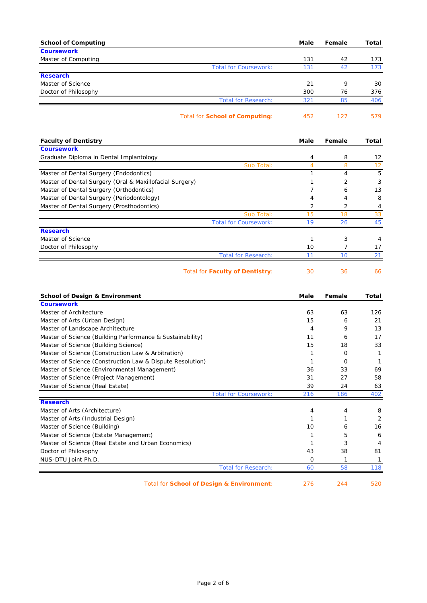| <b>School of Computing</b>                                | Male           | Female   | Total        |
|-----------------------------------------------------------|----------------|----------|--------------|
| <b>Coursework</b>                                         |                |          |              |
| Master of Computing                                       | 131<br>131     | 42<br>42 | 173          |
| <b>Total for Coursework:</b><br><b>Research</b>           |                |          | 173          |
| Master of Science                                         | 21             | 9        | 30           |
| Doctor of Philosophy                                      | 300            | 76       | 376          |
| <b>Total for Research:</b>                                | 321            | 85       | 406          |
|                                                           |                |          |              |
| <b>Total for School of Computing:</b>                     | 452            | 127      | 579          |
| <b>Faculty of Dentistry</b>                               | Male           | Female   | Total        |
| <b>Coursework</b>                                         |                |          |              |
| Graduate Diploma in Dental Implantology                   | 4              | 8        | 12           |
| Sub Total:                                                | $\overline{4}$ | 8        | 12           |
| Master of Dental Surgery (Endodontics)                    | $\mathbf{1}$   | 4        | 5            |
| Master of Dental Surgery (Oral & Maxillofacial Surgery)   | 1              | 2        | 3            |
| Master of Dental Surgery (Orthodontics)                   | 7              | 6        | 13           |
| Master of Dental Surgery (Periodontology)                 | 4              | 4        | 8            |
| Master of Dental Surgery (Prosthodontics)                 | 2              | 2        | 4            |
| Sub Total:                                                | 15             | 18       | 33           |
| <b>Total for Coursework:</b>                              | 19             | 26       | 45           |
| <b>Research</b><br>Master of Science                      |                |          |              |
|                                                           | 1              | 3<br>7   | 4            |
| Doctor of Philosophy<br><b>Total for Research:</b>        | 10<br>11       | 10       | 17<br>21     |
|                                                           |                |          |              |
| <b>Total for Faculty of Dentistry:</b>                    | 30             | 36       | 66           |
| <b>School of Design &amp; Environment</b>                 | Male           | Female   | Total        |
| <b>Coursework</b>                                         |                |          |              |
| Master of Architecture                                    | 63             | 63       | 126          |
| Master of Arts (Urban Design)                             | 15             | 6        | 21           |
| Master of Landscape Architecture                          | $\overline{4}$ | 9        | 13           |
| Master of Science (Building Performance & Sustainability) | 11             | 6        | 17           |
| Master of Science (Building Science)                      | 15             | 18       | 33           |
| Master of Science (Construction Law & Arbitration)        | 1              | 0        | 1            |
| Master of Science (Construction Law & Dispute Resolution) | $\mathbf{1}$   | $\circ$  | $\mathbf{1}$ |
| Master of Science (Environmental Management)              | 36             | 33       | 69           |
| Master of Science (Project Management)                    | 31             | 27       | 58           |
| Master of Science (Real Estate)                           | 39             | 24       | 63           |
| <b>Total for Coursework:</b><br><b>Research</b>           | 216            | 186      | 402          |
| Master of Arts (Architecture)                             | 4              | 4        | 8            |
| Master of Arts (Industrial Design)                        | 1              | 1        | 2            |
| Master of Science (Building)                              | 10             | 6        | 16           |
| Master of Science (Estate Management)                     | 1              | 5        | 6            |
| Master of Science (Real Estate and Urban Economics)       | 1              | 3        | 4            |
| Doctor of Philosophy                                      | 43             | 38       | 81           |
| NUS-DTU Joint Ph.D.                                       | 0              | 1        | 1            |
| <b>Total for Research:</b>                                | 60             | 58       | 118          |
|                                                           |                |          |              |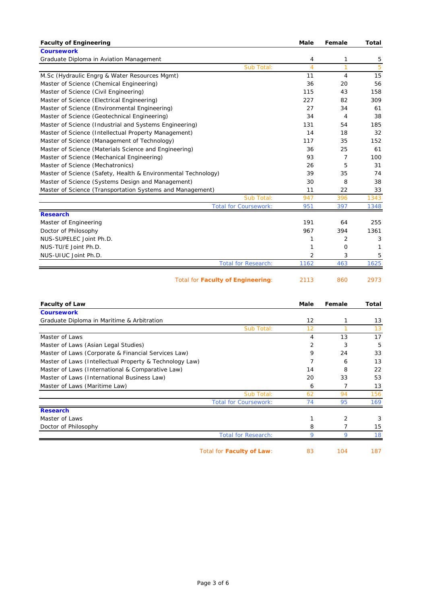| <b>Faculty of Engineering</b>                                 |            | <b>Male</b>    | Female         | <b>Total</b> |
|---------------------------------------------------------------|------------|----------------|----------------|--------------|
| <b>Coursework</b>                                             |            |                |                |              |
| Graduate Diploma in Aviation Management                       |            | 4              | 1              | 5            |
|                                                               | Sub Total: | $\overline{4}$ | $\overline{1}$ | 5            |
| M.Sc (Hydraulic Engrg & Water Resources Mgmt)                 |            | 11             | 4              | 15           |
| Master of Science (Chemical Engineering)                      |            | 36             | 20             | 56           |
| Master of Science (Civil Engineering)                         |            | 115            | 43             | 158          |
| Master of Science (Electrical Engineering)                    |            | 227            | 82             | 309          |
| Master of Science (Environmental Engineering)                 |            | 27             | 34             | 61           |
| Master of Science (Geotechnical Engineering)                  |            | 34             | 4              | 38           |
| Master of Science (Industrial and Systems Engineering)        |            | 131            | 54             | 185          |
| Master of Science (Intellectual Property Management)          |            | 14             | 18             | 32           |
| Master of Science (Management of Technology)                  |            | 117            | 35             | 152          |
| Master of Science (Materials Science and Engineering)         |            | 36             | 25             | 61           |
| Master of Science (Mechanical Engineering)                    |            | 93             | 7              | 100          |
| Master of Science (Mechatronics)                              |            | 26             | 5              | 31           |
| Master of Science (Safety, Health & Environmental Technology) |            | 39             | 35             | 74           |
| Master of Science (Systems Design and Management)             |            | 30             | 8              | 38           |
| Master of Science (Transportation Systems and Management)     |            | 11             | 22             | 33           |
|                                                               | Sub Total: | 947            | 396            | 1343         |
| <b>Total for Coursework:</b>                                  |            | 951            | 397            | 1348         |
| <b>Research</b>                                               |            |                |                |              |
| Master of Engineering                                         |            | 191            | 64             | 255          |
| Doctor of Philosophy                                          |            | 967            | 394            | 1361         |
| NUS-SUPELEC Joint Ph.D.                                       |            | 1              | $\overline{2}$ | 3            |
| NUS-TU/E Joint Ph.D.                                          |            | 1              | O              | 1            |
| NUS-UIUC Joint Ph.D.                                          |            | 2              | 3              | 5            |
| <b>Total for Research:</b>                                    |            | 1162           | 463            | 1625         |
| <b>Total for Faculty of Engineering:</b>                      |            | 2113           | 860            | 2973         |
| <b>Faculty of Law</b>                                         |            | Male           | Female         | Total        |

| <b>Coursework</b>                                       |                              |                   |                |     |
|---------------------------------------------------------|------------------------------|-------------------|----------------|-----|
| Graduate Diploma in Maritime & Arbitration              |                              | $12 \overline{ }$ | 1              | 13  |
|                                                         | Sub Total:                   | 12                |                | 13  |
| Master of Laws                                          |                              | 4                 | 13             | 17  |
| Master of Laws (Asian Legal Studies)                    |                              | 2                 | 3              | 5   |
| Master of Laws (Corporate & Financial Services Law)     |                              | 9                 | 24             | 33  |
| Master of Laws (Intellectual Property & Technology Law) |                              |                   | 6              | 13  |
| Master of Laws (International & Comparative Law)        |                              | 14                | 8              | 22  |
| Master of Laws (International Business Law)             |                              | 20                | 33             | 53  |
| Master of Laws (Maritime Law)                           |                              | 6                 |                | 13  |
|                                                         | Sub Total:                   | 62                | 94             | 156 |
|                                                         | <b>Total for Coursework:</b> | 74                | 95             | 169 |
| <b>Research</b>                                         |                              |                   |                |     |
| Master of Laws                                          |                              |                   | $\overline{2}$ | 3   |
| Doctor of Philosophy                                    |                              | 8                 |                | 15  |
|                                                         | <b>Total for Research:</b>   | $\mathbf Q$       | 9              | 18  |
|                                                         | Total for Faculty of Law:    | 83                | 104            | 187 |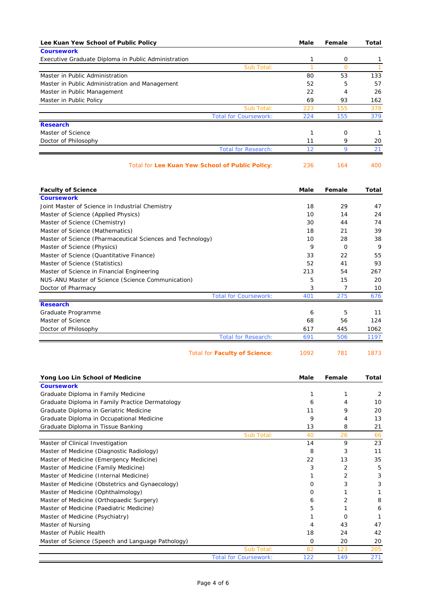| Lee Kuan Yew School of Public Policy                                            | Male      | Female              | Total        |
|---------------------------------------------------------------------------------|-----------|---------------------|--------------|
| <b>Coursework</b>                                                               |           |                     |              |
| Executive Graduate Diploma in Public Administration                             | 1         | 0                   | 1            |
| Sub Total:                                                                      | 1         | $\overline{0}$      | $\mathbf{1}$ |
| Master in Public Administration                                                 | 80        | 53                  | 133          |
| Master in Public Administration and Management<br>Master in Public Management   | 52<br>22  | 5<br>$\overline{4}$ | 57<br>26     |
| Master in Public Policy                                                         | 69        | 93                  | 162          |
| Sub Total:                                                                      | 223       | 155                 | 378          |
| <b>Total for Coursework:</b>                                                    | 224       | 155                 | 379          |
| <b>Research</b>                                                                 |           |                     |              |
| Master of Science                                                               | 1         | 0                   | $\mathbf{1}$ |
| Doctor of Philosophy                                                            | 11        | 9                   | 20           |
| <b>Total for Research:</b>                                                      | 12        | 9                   | 21           |
| Total for Lee Kuan Yew School of Public Policy:                                 | 236       | 164                 | 400          |
|                                                                                 |           |                     |              |
| <b>Faculty of Science</b><br><b>Coursework</b>                                  | Male      | Female              | Total        |
| Joint Master of Science in Industrial Chemistry                                 | 18        | 29                  | 47           |
| Master of Science (Applied Physics)                                             | 10        | 14                  | 24           |
| Master of Science (Chemistry)                                                   | 30        | 44                  | 74           |
| Master of Science (Mathematics)                                                 | 18        | 21                  | 39           |
| Master of Science (Pharmaceutical Sciences and Technology)                      | 10        | 28                  | 38           |
| Master of Science (Physics)                                                     | 9         | 0                   | 9            |
| Master of Science (Quantitative Finance)                                        | 33        | 22                  | 55           |
| Master of Science (Statistics)                                                  | 52        | 41                  | 93           |
| Master of Science in Financial Engineering                                      | 213       | 54                  | 267          |
| NUS-ANU Master of Science (Science Communication)                               | 5         | 15                  | 20           |
| Doctor of Pharmacy                                                              | 3         | 7                   | 10           |
| <b>Total for Coursework:</b>                                                    | 401       | 275                 | 676          |
| <b>Research</b>                                                                 |           |                     |              |
| Graduate Programme<br>Master of Science                                         | 6<br>68   | 5<br>56             | 11<br>124    |
| Doctor of Philosophy                                                            | 617       | 445                 | 1062         |
| <b>Total for Research:</b>                                                      | 691       | 506                 | 1197         |
|                                                                                 |           |                     |              |
| <b>Total for Faculty of Science:</b>                                            | 1092      | 781                 | 1873         |
| Yong Loo Lin School of Medicine                                                 | Male      | Female              | Total        |
| <b>Coursework</b>                                                               |           |                     |              |
| Graduate Diploma in Family Medicine                                             | 1         | 1                   | 2            |
| Graduate Diploma in Family Practice Dermatology                                 | 6         | 4                   | 10           |
| Graduate Diploma in Geriatric Medicine                                          | 11<br>9   | 9                   | 20           |
| Graduate Diploma in Occupational Medicine<br>Graduate Diploma in Tissue Banking | 13        | 4<br>8              | 13<br>21     |
| Sub Total:                                                                      | 40        | 26                  | 66           |
| Master of Clinical Investigation                                                | 14        | 9                   | 23           |
| Master of Medicine (Diagnostic Radiology)                                       | 8         | 3                   | 11           |
| Master of Medicine (Emergency Medicine)                                         | 22        | 13                  | 35           |
| Master of Medicine (Family Medicine)                                            | 3         | 2                   | 5            |
| Master of Medicine (Internal Medicine)                                          | 1         | 2                   | 3            |
| Master of Medicine (Obstetrics and Gynaecology)                                 | 0         | 3                   | 3            |
| Master of Medicine (Ophthalmology)                                              | 0         | 1                   | 1            |
| Master of Medicine (Orthopaedic Surgery)                                        | 6         | 2                   | 8            |
| Master of Medicine (Paediatric Medicine)                                        | 5         | 1                   | 6            |
| Master of Medicine (Psychiatry)                                                 | 1         | 0                   | 1            |
| Master of Nursing                                                               | 4         | 43                  | 47           |
| Master of Public Health                                                         | 18        | 24                  | 42           |
| Master of Science (Speech and Language Pathology)                               | 0         | 20                  | 20           |
| Sub Total:                                                                      | 82<br>122 | 123                 | 205          |
| <b>Total for Coursework:</b>                                                    |           | 149                 | 271          |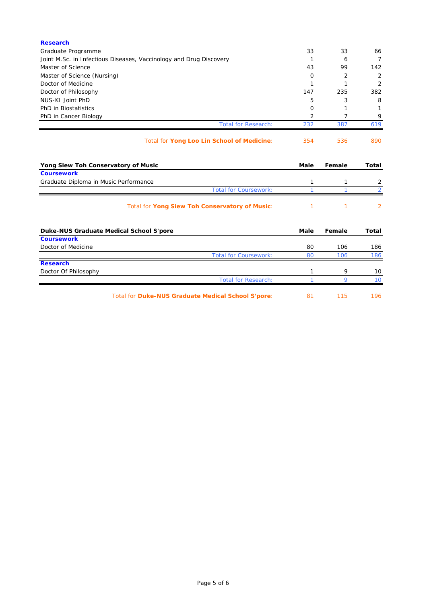| <b>Research</b>                                                    |          |        |                |
|--------------------------------------------------------------------|----------|--------|----------------|
| Graduate Programme                                                 | 33       | 33     | 66             |
| Joint M.Sc. in Infectious Diseases, Vaccinology and Drug Discovery | 1        | 6      | $\overline{7}$ |
| Master of Science                                                  | 43       | 99     | 142            |
| Master of Science (Nursing)                                        | 0        | 2      | 2              |
| Doctor of Medicine                                                 | 1        | 1      | 2              |
| Doctor of Philosophy                                               | 147      | 235    | 382            |
| NUS-KI Joint PhD                                                   | 5        | 3      | 8              |
| PhD in Biostatistics                                               | $\Omega$ | 1      | 1              |
| PhD in Cancer Biology                                              | 2        | 7      | 9              |
| <b>Total for Research:</b>                                         | 232      | 387    | 619            |
| Total for Yong Loo Lin School of Medicine:                         | 354      | 536    | 890            |
| Yong Siew Toh Conservatory of Music                                | Male     | Female | <b>Total</b>   |
| <b>Coursework</b>                                                  |          |        |                |
| Graduate Diploma in Music Performance                              | 1        | 1      | 2              |
| <b>Total for Coursework:</b>                                       | 1        | 1      | $\overline{2}$ |
| Total for Yong Siew Toh Conservatory of Music:                     | 1        | 1      | $\overline{2}$ |
| Duke-NUS Graduate Medical School S'pore                            | Male     | Female | Total          |
| <b>Coursework</b>                                                  |          |        |                |
| Doctor of Medicine                                                 | 80       | 106    | 186            |
| <b>Total for Coursework:</b>                                       | 80       | 106    | 186            |
| <b>Research</b>                                                    |          |        |                |
| Doctor Of Philosophy                                               | 1        | 9      | 10             |
| <b>Total for Research:</b>                                         |          | 9      | 10             |

Total for **Duke-NUS Graduate Medical School S'pore**: 81 115 196